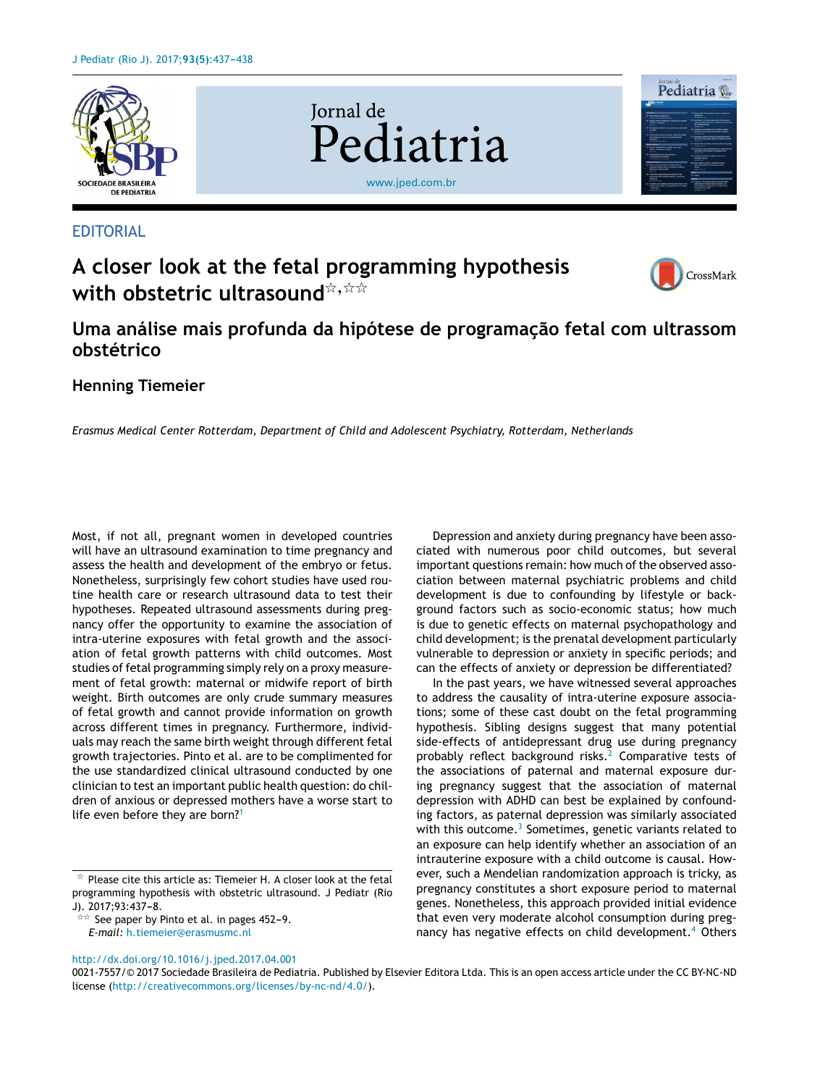

## EDITORIAL

# **A closer look at the fetal programming hypothesis**  $\textbf{with} \textbf{ob}$ stetric ultrasound $\text{Cov} \text{Sov}$

**Jornal** de



Pediatria

## **Uma análise mais profunda da hipótese de programac¸ão fetal com ultrassom obstétrico**

[www.jped.com.br](http://www.jped.com.br)

Pediatria

## **Henning Tiemeier**

*Erasmus Medical Center Rotterdam, Department of Child and Adolescent Psychiatry, Rotterdam, Netherlands*

Most, if not all, pregnant women in developed countries will have an ultrasound examination to time pregnancy and assess the health and development of the embryo or fetus. Nonetheless, surprisingly few cohort studies have used routine health care or research ultrasound data to test their hypotheses. Repeated ultrasound assessments during pregnancy offer the opportunity to examine the association of intra-uterine exposures with fetal growth and the association of fetal growth patterns with child outcomes. Most studies of fetal programming simply rely on a proxy measurement of fetal growth: maternal or midwife report of birth weight. Birth outcomes are only crude summary measures of fetal growth and cannot provide information on growth across different times in pregnancy. Furthermore, individuals may reach the same birth weight through different fetal growth trajectories. Pinto et al. are to be complimented for the use standardized clinical ultrasound conducted by one clinician to test an important public health question: do children of anxious or depressed mothers have a worse start to life even before they are born?<sup>[1](#page-1-0)</sup>

 $\frac{1}{2}$  See paper by Pinto et al. in pages 452–9. *E-mail:* [h.tiemeier@erasmusmc.nl](mailto:h.tiemeier@erasmusmc.nl)

Depression and anxiety during pregnancy have been associated with numerous poor child outcomes, but several important questions remain: how much of the observed association between maternal psychiatric problems and child development is due to confounding by lifestyle or background factors such as socio-economic status; how much is due to genetic effects on maternal psychopathology and child development; is the prenatal development particularly vulnerable to depression or anxiety in specific periods; and can the effects of anxiety or depression be differentiated?

In the past years, we have witnessed several approaches to address the causality of intra-uterine exposure associations; some of these cast doubt on the fetal programming hypothesis. Sibling designs suggest that many potential side-effects of antidepressant drug use during pregnancy probably reflect background risks.<sup>[2](#page-1-0)</sup> Comparative tests of the associations of paternal and maternal exposure during pregnancy suggest that the association of maternal depression with ADHD can best be explained by confounding factors, as paternal depression was similarly associated with this outcome.<sup>[3](#page-1-0)</sup> Sometimes, genetic variants related to an exposure can help identify whether an association of an intrauterine exposure with a child outcome is causal. However, such a Mendelian randomization approach is tricky, as pregnancy constitutes a short exposure period to maternal genes. Nonetheless, this approach provided initial evidence that even very moderate alcohol consumption during preg-nancy has negative effects on child development.<sup>[4](#page-1-0)</sup> Others

#### [http://dx.doi.org/10.1016/j.jped.2017.04.001](dx.doi.org/10.1016/j.jped.2017.04.001)

 $\star$  Please cite this article as: Tiemeier H. A closer look at the fetal programming hypothesis with obstetric ultrasound. J Pediatr (Rio J). 2017;93:437-8.

<sup>0021-7557/©</sup> 2017 Sociedade Brasileira de Pediatria. Published by Elsevier Editora Ltda. This is an open access article under the CC BY-NC-ND license (<http://creativecommons.org/licenses/by-nc-nd/4.0/>).